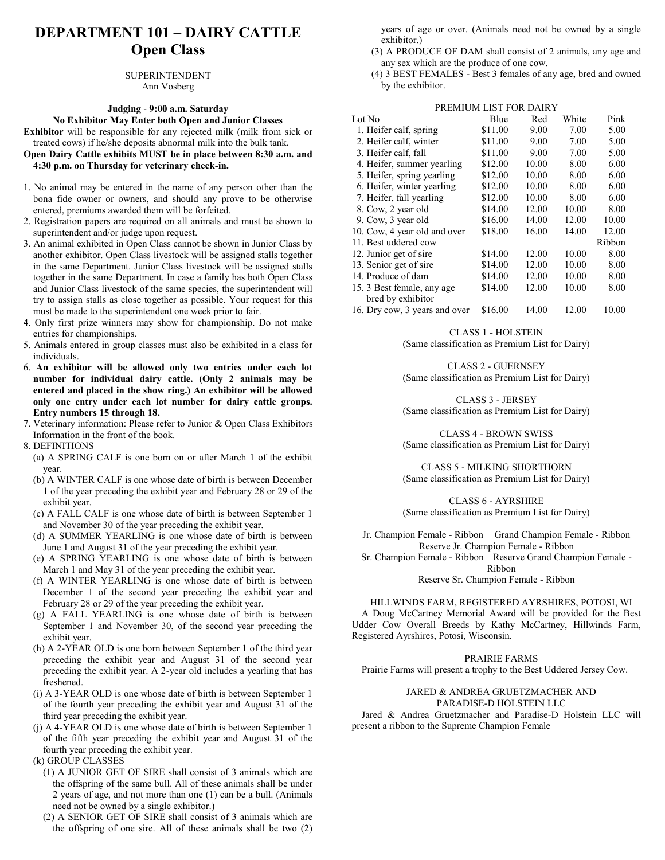## **DEPARTMENT 101 – DAIRY CATTLE Open Class**

SUPERINTENDENT Ann Vosberg

#### **Judging** - **9:00 a.m. Saturday**

**No Exhibitor May Enter both Open and Junior Classes Exhibitor** will be responsible for any rejected milk (milk from sick or treated cows) if he/she deposits abnormal milk into the bulk tank.

- **Open Dairy Cattle exhibits MUST be in place between 8:30 a.m. and 4:30 p.m. on Thursday for veterinary check-in.**
- 1. No animal may be entered in the name of any person other than the bona fide owner or owners, and should any prove to be otherwise entered, premiums awarded them will be forfeited.
- 2. Registration papers are required on all animals and must be shown to superintendent and/or judge upon request.
- 3. An animal exhibited in Open Class cannot be shown in Junior Class by another exhibitor. Open Class livestock will be assigned stalls together in the same Department. Junior Class livestock will be assigned stalls together in the same Department. In case a family has both Open Class and Junior Class livestock of the same species, the superintendent will try to assign stalls as close together as possible. Your request for this must be made to the superintendent one week prior to fair.
- 4. Only first prize winners may show for championship. Do not make entries for championships.
- 5. Animals entered in group classes must also be exhibited in a class for individuals.
- 6. **An exhibitor will be allowed only two entries under each lot number for individual dairy cattle. (Only 2 animals may be entered and placed in the show ring.) An exhibitor will be allowed only one entry under each lot number for dairy cattle groups. Entry numbers 15 through 18.**
- 7. Veterinary information: Please refer to Junior & Open Class Exhibitors Information in the front of the book.
- 8. DEFINITIONS
- (a) A SPRING CALF is one born on or after March 1 of the exhibit year.
- (b) A WINTER CALF is one whose date of birth is between December 1 of the year preceding the exhibit year and February 28 or 29 of the exhibit year.
- (c) A FALL CALF is one whose date of birth is between September 1 and November 30 of the year preceding the exhibit year.
- (d) A SUMMER YEARLING is one whose date of birth is between June 1 and August 31 of the year preceding the exhibit year.
- (e) A SPRING YEARLING is one whose date of birth is between March 1 and May 31 of the year preceding the exhibit year.
- (f) A WINTER YEARLING is one whose date of birth is between December 1 of the second year preceding the exhibit year and February 28 or 29 of the year preceding the exhibit year.
- (g) A FALL YEARLING is one whose date of birth is between September 1 and November 30, of the second year preceding the exhibit year.
- (h) A 2-YEAR OLD is one born between September 1 of the third year preceding the exhibit year and August 31 of the second year preceding the exhibit year. A 2-year old includes a yearling that has freshened.
- (i) A 3-YEAR OLD is one whose date of birth is between September 1 of the fourth year preceding the exhibit year and August 31 of the third year preceding the exhibit year.
- (j) A 4-YEAR OLD is one whose date of birth is between September 1 of the fifth year preceding the exhibit year and August 31 of the fourth year preceding the exhibit year.
- (k) GROUP CLASSES
	- (1) A JUNIOR GET OF SIRE shall consist of 3 animals which are the offspring of the same bull. All of these animals shall be under 2 years of age, and not more than one (1) can be a bull. (Animals need not be owned by a single exhibitor.)
	- (2) A SENIOR GET OF SIRE shall consist of 3 animals which are the offspring of one sire. All of these animals shall be two (2)

years of age or over. (Animals need not be owned by a single exhibitor.)

- (3) A PRODUCE OF DAM shall consist of 2 animals, any age and any sex which are the produce of one cow.
- (4) 3 BEST FEMALES Best 3 females of any age, bred and owned by the exhibitor.

| PREMIUM LIST FOR DAIRY        |         |       |       |        |
|-------------------------------|---------|-------|-------|--------|
| Lot No                        | Blue    | Red   | White | Pink   |
| 1. Heifer calf, spring        | \$11.00 | 9.00  | 7.00  | 5.00   |
| 2. Heifer calf, winter        | \$11.00 | 9.00  | 7.00  | 5.00   |
| 3. Heifer calf, fall          | \$11.00 | 9.00  | 7.00  | 5.00   |
| 4. Heifer, summer yearling    | \$12.00 | 10.00 | 8.00  | 6.00   |
| 5. Heifer, spring yearling    | \$12.00 | 10.00 | 8.00  | 6.00   |
| 6. Heifer, winter yearling    | \$12.00 | 10.00 | 8.00  | 6.00   |
| 7. Heifer, fall yearling      | \$12.00 | 10.00 | 8.00  | 6.00   |
| 8. Cow, 2 year old            | \$14.00 | 12.00 | 10.00 | 8.00   |
| 9. Cow, 3 year old            | \$16.00 | 14.00 | 12.00 | 10.00  |
| 10. Cow, 4 year old and over  | \$18.00 | 16.00 | 14.00 | 12.00  |
| 11. Best uddered cow          |         |       |       | Ribbon |
| 12. Junior get of sire        | \$14.00 | 12.00 | 10.00 | 8.00   |
| 13. Senior get of sire        | \$14.00 | 12.00 | 10.00 | 8.00   |
| 14. Produce of dam            | \$14.00 | 12.00 | 10.00 | 8.00   |
| 15. 3 Best female, any age    | \$14.00 | 12.00 | 10.00 | 8.00   |
| bred by exhibitor             |         |       |       |        |
| 16. Dry cow, 3 years and over | \$16.00 | 14.00 | 12.00 | 10.00  |

CLASS 1 - HOLSTEIN

(Same classification as Premium List for Dairy)

CLASS 2 - GUERNSEY (Same classification as Premium List for Dairy)

CLASS 3 - JERSEY (Same classification as Premium List for Dairy)

CLASS 4 - BROWN SWISS (Same classification as Premium List for Dairy)

CLASS 5 - MILKING SHORTHORN (Same classification as Premium List for Dairy)

CLASS 6 - AYRSHIRE (Same classification as Premium List for Dairy)

Jr. Champion Female - Ribbon Grand Champion Female - Ribbon Reserve Jr. Champion Female - Ribbon

Sr. Champion Female - Ribbon Reserve Grand Champion Female - Ribbon

Reserve Sr. Champion Female - Ribbon

#### HILLWINDS FARM, REGISTERED AYRSHIRES, POTOSI, WI

A Doug McCartney Memorial Award will be provided for the Best Udder Cow Overall Breeds by Kathy McCartney, Hillwinds Farm, Registered Ayrshires, Potosi, Wisconsin.

#### PRAIRIE FARMS

Prairie Farms will present a trophy to the Best Uddered Jersey Cow.

#### JARED & ANDREA GRUETZMACHER AND PARADISE-D HOLSTEIN LLC

Jared & Andrea Gruetzmacher and Paradise-D Holstein LLC will present a ribbon to the Supreme Champion Female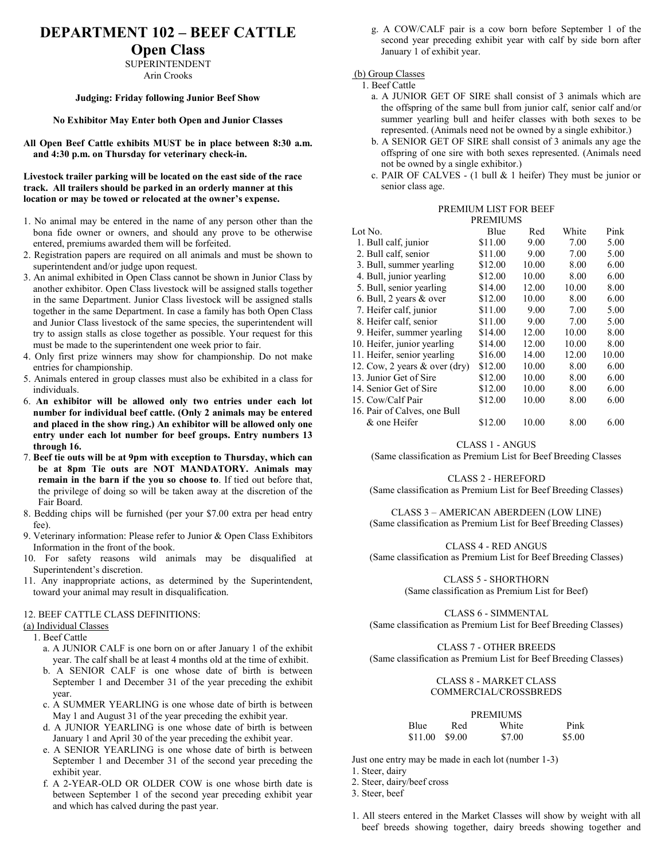## **DEPARTMENT 102 – BEEF CATTLE**

### **Open Class**

SUPERINTENDENT Arin Crooks

#### **Judging: Friday following Junior Beef Show**

#### **No Exhibitor May Enter both Open and Junior Classes**

**All Open Beef Cattle exhibits MUST be in place between 8:30 a.m. and 4:30 p.m. on Thursday for veterinary check-in.**

**Livestock trailer parking will be located on the east side of the race track. All trailers should be parked in an orderly manner at this location or may be towed or relocated at the owner's expense.** 

- 1. No animal may be entered in the name of any person other than the bona fide owner or owners, and should any prove to be otherwise entered, premiums awarded them will be forfeited.
- 2. Registration papers are required on all animals and must be shown to superintendent and/or judge upon request.
- 3. An animal exhibited in Open Class cannot be shown in Junior Class by another exhibitor. Open Class livestock will be assigned stalls together in the same Department. Junior Class livestock will be assigned stalls together in the same Department. In case a family has both Open Class and Junior Class livestock of the same species, the superintendent will try to assign stalls as close together as possible. Your request for this must be made to the superintendent one week prior to fair.
- 4. Only first prize winners may show for championship. Do not make entries for championship.
- 5. Animals entered in group classes must also be exhibited in a class for individuals.
- 6. **An exhibitor will be allowed only two entries under each lot number for individual beef cattle. (Only 2 animals may be entered and placed in the show ring.) An exhibitor will be allowed only one entry under each lot number for beef groups. Entry numbers 13 through 16.**
- 7. **Beef tie outs will be at 9pm with exception to Thursday, which can be at 8pm Tie outs are NOT MANDATORY. Animals may remain in the barn if the you so choose to**. If tied out before that, the privilege of doing so will be taken away at the discretion of the Fair Board.
- 8. Bedding chips will be furnished (per your \$7.00 extra per head entry fee).
- 9. Veterinary information: Please refer to Junior & Open Class Exhibitors Information in the front of the book.
- 10. For safety reasons wild animals may be disqualified at Superintendent's discretion.
- 11. Any inappropriate actions, as determined by the Superintendent, toward your animal may result in disqualification.

#### 12. BEEF CATTLE CLASS DEFINITIONS:

#### (a) Individual Classes

1. Beef Cattle

- a. A JUNIOR CALF is one born on or after January 1 of the exhibit year. The calf shall be at least 4 months old at the time of exhibit.
- b. A SENIOR CALF is one whose date of birth is between September 1 and December 31 of the year preceding the exhibit year.
- c. A SUMMER YEARLING is one whose date of birth is between May 1 and August 31 of the year preceding the exhibit year.
- d. A JUNIOR YEARLING is one whose date of birth is between January 1 and April 30 of the year preceding the exhibit year.
- e. A SENIOR YEARLING is one whose date of birth is between September 1 and December 31 of the second year preceding the exhibit year.
- f. A 2-YEAR-OLD OR OLDER COW is one whose birth date is between September 1 of the second year preceding exhibit year and which has calved during the past year.

g. A COW/CALF pair is a cow born before September 1 of the second year preceding exhibit year with calf by side born after January 1 of exhibit year.

(b) Group Classes

1. Beef Cattle

- a. A JUNIOR GET OF SIRE shall consist of 3 animals which are the offspring of the same bull from junior calf, senior calf and/or summer yearling bull and heifer classes with both sexes to be represented. (Animals need not be owned by a single exhibitor.)
- b. A SENIOR GET OF SIRE shall consist of 3 animals any age the offspring of one sire with both sexes represented. (Animals need not be owned by a single exhibitor.)
- c. PAIR OF CALVES (1 bull & 1 heifer) They must be junior or senior class age.

### PREMIUM LIST FOR BEEF

|                                          | <b>PREMIUMS</b> |       |       |       |
|------------------------------------------|-----------------|-------|-------|-------|
| Lot No.                                  | Blue            | Red   | White | Pink  |
| 1. Bull calf, junior                     | \$11.00         | 9.00  | 7.00  | 5.00  |
| 2. Bull calf, senior                     | \$11.00         | 9.00  | 7.00  | 5.00  |
| 3. Bull, summer yearling                 | \$12.00         | 10.00 | 8.00  | 6.00  |
| 4. Bull, junior yearling                 | \$12.00         | 10.00 | 8.00  | 6.00  |
| 5. Bull, senior yearling                 | \$14.00         | 12.00 | 10.00 | 8.00  |
| 6. Bull, 2 years & over                  | \$12.00         | 10.00 | 8.00  | 6.00  |
| 7. Heifer calf, junior                   | \$11.00         | 9.00  | 7.00  | 5.00  |
| 8. Heifer calf, senior                   | \$11.00         | 9.00  | 7.00  | 5.00  |
| 9. Heifer, summer yearling               | \$14.00         | 12.00 | 10.00 | 8.00  |
| 10. Heifer, junior yearling              | \$14.00         | 12.00 | 10.00 | 8.00  |
| 11. Heifer, senior yearling              | \$16.00         | 14.00 | 12.00 | 10.00 |
| 12. Cow, 2 years $&$ over $\text{(dry)}$ | \$12.00         | 10.00 | 8.00  | 6.00  |
| 13. Junior Get of Sire                   | \$12.00         | 10.00 | 8.00  | 6.00  |
| 14. Senior Get of Sire                   | \$12.00         | 10.00 | 8.00  | 6.00  |
| 15. Cow/Calf Pair                        | \$12.00         | 10.00 | 8.00  | 6.00  |
| 16. Pair of Calves, one Bull             |                 |       |       |       |
| & one Heifer                             | \$12.00         | 10.00 | 8.00  | 6.00  |

CLASS 1 - ANGUS

(Same classification as Premium List for Beef Breeding Classes

CLASS 2 - HEREFORD

(Same classification as Premium List for Beef Breeding Classes)

CLASS 3 – AMERICAN ABERDEEN (LOW LINE) (Same classification as Premium List for Beef Breeding Classes)

CLASS 4 - RED ANGUS (Same classification as Premium List for Beef Breeding Classes)

CLASS 5 - SHORTHORN

(Same classification as Premium List for Beef)

CLASS 6 - SIMMENTAL (Same classification as Premium List for Beef Breeding Classes)

CLASS 7 - OTHER BREEDS (Same classification as Premium List for Beef Breeding Classes)

#### CLASS 8 - MARKET CLASS COMMERCIAL/CROSSBREDS

|         |        | <b>PREMIUMS</b> |        |
|---------|--------|-----------------|--------|
| Blue    | Red    | White           | Pink   |
| \$11.00 | \$9.00 | \$7.00          | \$5.00 |

Just one entry may be made in each lot (number 1-3)

1. Steer, dairy

2. Steer, dairy/beef cross

3. Steer, beef

1. All steers entered in the Market Classes will show by weight with all beef breeds showing together, dairy breeds showing together and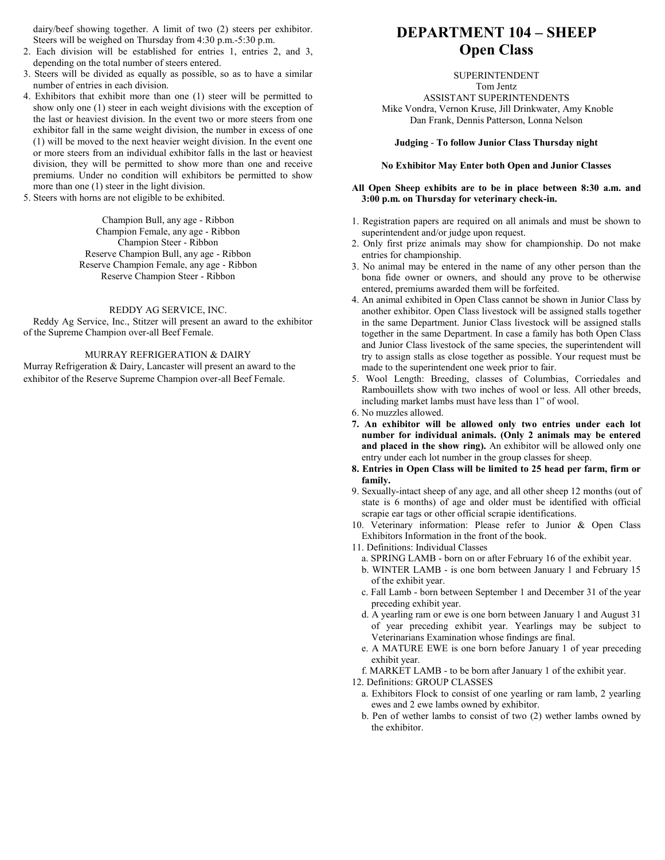dairy/beef showing together. A limit of two (2) steers per exhibitor. Steers will be weighed on Thursday from 4:30 p.m.-5:30 p.m.

- 2. Each division will be established for entries 1, entries 2, and 3, depending on the total number of steers entered.
- 3. Steers will be divided as equally as possible, so as to have a similar number of entries in each division.
- 4. Exhibitors that exhibit more than one (1) steer will be permitted to show only one (1) steer in each weight divisions with the exception of the last or heaviest division. In the event two or more steers from one exhibitor fall in the same weight division, the number in excess of one (1) will be moved to the next heavier weight division. In the event one or more steers from an individual exhibitor falls in the last or heaviest division, they will be permitted to show more than one and receive premiums. Under no condition will exhibitors be permitted to show more than one (1) steer in the light division.
- 5. Steers with horns are not eligible to be exhibited.

Champion Bull, any age - Ribbon Champion Female, any age - Ribbon Champion Steer - Ribbon Reserve Champion Bull, any age - Ribbon Reserve Champion Female, any age - Ribbon Reserve Champion Steer - Ribbon

#### REDDY AG SERVICE, INC.

Reddy Ag Service, Inc., Stitzer will present an award to the exhibitor of the Supreme Champion over-all Beef Female.

#### MURRAY REFRIGERATION & DAIRY

Murray Refrigeration & Dairy, Lancaster will present an award to the exhibitor of the Reserve Supreme Champion over-all Beef Female.

## **DEPARTMENT 104 – SHEEP Open Class**

SUPERINTENDENT Tom Jentz

ASSISTANT SUPERINTENDENTS Mike Vondra, Vernon Kruse, Jill Drinkwater, Amy Knoble

Dan Frank, Dennis Patterson, Lonna Nelson

#### **Judging** - **To follow Junior Class Thursday night**

#### **No Exhibitor May Enter both Open and Junior Classes**

#### **All Open Sheep exhibits are to be in place between 8:30 a.m. and 3:00 p.m. on Thursday for veterinary check-in.**

- 1. Registration papers are required on all animals and must be shown to superintendent and/or judge upon request.
- 2. Only first prize animals may show for championship. Do not make entries for championship.
- 3. No animal may be entered in the name of any other person than the bona fide owner or owners, and should any prove to be otherwise entered, premiums awarded them will be forfeited.
- 4. An animal exhibited in Open Class cannot be shown in Junior Class by another exhibitor. Open Class livestock will be assigned stalls together in the same Department. Junior Class livestock will be assigned stalls together in the same Department. In case a family has both Open Class and Junior Class livestock of the same species, the superintendent will try to assign stalls as close together as possible. Your request must be made to the superintendent one week prior to fair.
- 5. Wool Length: Breeding, classes of Columbias, Corriedales and Rambouillets show with two inches of wool or less. All other breeds, including market lambs must have less than 1" of wool.
- 6. No muzzles allowed.
- **7. An exhibitor will be allowed only two entries under each lot number for individual animals. (Only 2 animals may be entered and placed in the show ring).** An exhibitor will be allowed only one entry under each lot number in the group classes for sheep.
- **8. Entries in Open Class will be limited to 25 head per farm, firm or family.**
- 9. Sexually-intact sheep of any age, and all other sheep 12 months (out of state is 6 months) of age and older must be identified with official scrapie ear tags or other official scrapie identifications.
- 10. Veterinary information: Please refer to Junior & Open Class Exhibitors Information in the front of the book.
- 11. Definitions: Individual Classes
	- a. SPRING LAMB born on or after February 16 of the exhibit year.
	- b. WINTER LAMB is one born between January 1 and February 15 of the exhibit year.
	- c. Fall Lamb born between September 1 and December 31 of the year preceding exhibit year.
	- d. A yearling ram or ewe is one born between January 1 and August 31 of year preceding exhibit year. Yearlings may be subject to Veterinarians Examination whose findings are final.
	- e. A MATURE EWE is one born before January 1 of year preceding exhibit year.

f. MARKET LAMB - to be born after January 1 of the exhibit year.

12. Definitions: GROUP CLASSES

- a. Exhibitors Flock to consist of one yearling or ram lamb, 2 yearling ewes and 2 ewe lambs owned by exhibitor.
- b. Pen of wether lambs to consist of two (2) wether lambs owned by the exhibitor.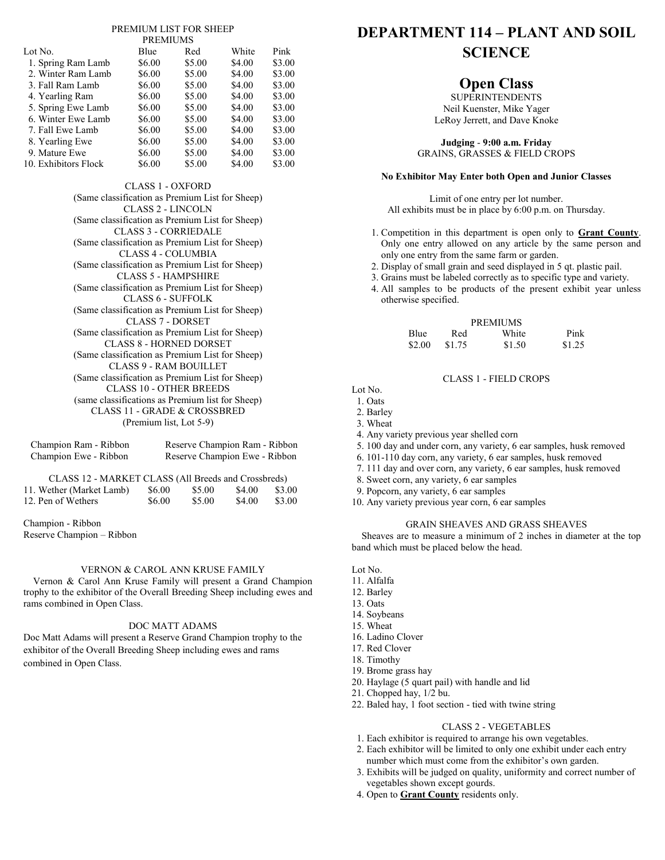#### PREMIUM LIST FOR SHEEP PREMIUMS

|                      | <b>I IVERVITURILD</b> |        |        |        |
|----------------------|-----------------------|--------|--------|--------|
| Lot No.              | Blue                  | Red    | White  | Pink   |
| 1. Spring Ram Lamb   | \$6.00                | \$5.00 | \$4.00 | \$3.00 |
| 2. Winter Ram Lamb   | \$6.00                | \$5.00 | \$4.00 | \$3.00 |
| 3. Fall Ram Lamb     | \$6.00                | \$5.00 | \$4.00 | \$3.00 |
| 4. Yearling Ram      | \$6.00                | \$5.00 | \$4.00 | \$3.00 |
| 5. Spring Ewe Lamb   | \$6.00                | \$5.00 | \$4.00 | \$3.00 |
| 6. Winter Ewe Lamb   | \$6.00                | \$5.00 | \$4.00 | \$3.00 |
| 7. Fall Ewe Lamb     | \$6.00                | \$5.00 | \$4.00 | \$3.00 |
| 8. Yearling Ewe      | \$6.00                | \$5.00 | \$4.00 | \$3.00 |
| 9. Mature Ewe        | \$6.00                | \$5.00 | \$4.00 | \$3.00 |
| 10. Exhibitors Flock | \$6.00                | \$5.00 | \$4.00 | \$3.00 |

CLASS 1 - OXFORD (Same classification as Premium List for Sheep) CLASS 2 - LINCOLN (Same classification as Premium List for Sheep) CLASS 3 - CORRIEDALE (Same classification as Premium List for Sheep) CLASS 4 - COLUMBIA (Same classification as Premium List for Sheep) CLASS 5 - HAMPSHIRE (Same classification as Premium List for Sheep) CLASS 6 - SUFFOLK (Same classification as Premium List for Sheep) CLASS 7 - DORSET (Same classification as Premium List for Sheep) CLASS 8 - HORNED DORSET (Same classification as Premium List for Sheep) CLASS 9 - RAM BOUILLET (Same classification as Premium List for Sheep) CLASS 10 - OTHER BREEDS (same classifications as Premium list for Sheep) CLASS 11 - GRADE & CROSSBRED (Premium list, Lot 5-9)

| Champion Ram - Ribbon<br>Champion Ewe - Ribbon                                  |        | Reserve Champion Ram - Ribbon<br>Reserve Champion Ewe - Ribbon |        |        |
|---------------------------------------------------------------------------------|--------|----------------------------------------------------------------|--------|--------|
| CLASS 12 - MARKET CLASS (All Breeds and Crossbreds)<br>11. Wether (Market Lamb) | \$6.00 | \$5.00                                                         | \$4.00 | \$3.00 |

12. Pen of Wethers  $$6.00$  \$5.00 \$4.00 \$3.00

Champion - Ribbon Reserve Champion – Ribbon

#### VERNON & CAROL ANN KRUSE FAMILY

Vernon & Carol Ann Kruse Family will present a Grand Champion trophy to the exhibitor of the Overall Breeding Sheep including ewes and rams combined in Open Class.

#### DOC MATT ADAMS

Doc Matt Adams will present a Reserve Grand Champion trophy to the exhibitor of the Overall Breeding Sheep including ewes and rams combined in Open Class.

# **DEPARTMENT 114 – PLANT AND SOIL SCIENCE**

## **Open Class**

SUPERINTENDENTS Neil Kuenster, Mike Yager LeRoy Jerrett, and Dave Knoke

**Judging** - **9:00 a.m. Friday** GRAINS, GRASSES & FIELD CROPS

#### **No Exhibitor May Enter both Open and Junior Classes**

Limit of one entry per lot number. All exhibits must be in place by 6:00 p.m. on Thursday.

- 1. Competition in this department is open only to **Grant County**. Only one entry allowed on any article by the same person and only one entry from the same farm or garden.
- 2. Display of small grain and seed displayed in 5 qt. plastic pail.
- 3. Grains must be labeled correctly as to specific type and variety.
- 4. All samples to be products of the present exhibit year unless otherwise specified.

|             |        | <b>PREMIUMS</b> |        |
|-------------|--------|-----------------|--------|
| <b>Blue</b> | Red    | White           | Pink   |
| \$2.00      | \$1.75 | \$1.50          | \$1.25 |

#### CLASS 1 - FIELD CROPS

Lot No.

- 1. Oats
- 2. Barley
- 3. Wheat
- 4. Any variety previous year shelled corn
- 5. 100 day and under corn, any variety, 6 ear samples, husk removed
- 6. 101-110 day corn, any variety, 6 ear samples, husk removed
- 7. 111 day and over corn, any variety, 6 ear samples, husk removed
- 8. Sweet corn, any variety, 6 ear samples
- 9. Popcorn, any variety, 6 ear samples
- 10. Any variety previous year corn, 6 ear samples

### GRAIN SHEAVES AND GRASS SHEAVES

Sheaves are to measure a minimum of 2 inches in diameter at the top band which must be placed below the head.

- Lot No.
- 11. Alfalfa
- 12. Barley
- 13. Oats
- 14. Soybeans
- 15. Wheat
- 16. Ladino Clover
- 17. Red Clover
- 18. Timothy
- 19. Brome grass hay
- 20. Haylage (5 quart pail) with handle and lid
- 21. Chopped hay, 1/2 bu.
- 22. Baled hay, 1 foot section tied with twine string

#### CLASS 2 - VEGETABLES

- 1. Each exhibitor is required to arrange his own vegetables.
- 2. Each exhibitor will be limited to only one exhibit under each entry number which must come from the exhibitor's own garden.
- 3. Exhibits will be judged on quality, uniformity and correct number of vegetables shown except gourds.
- 4. Open to **Grant County** residents only.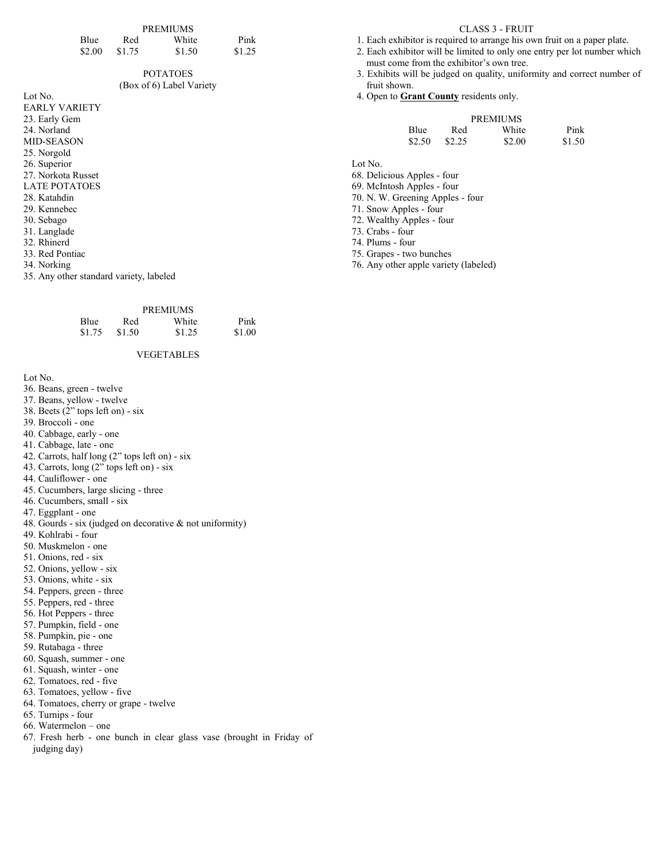|        |        | <b>PREMIUMS</b> |        |
|--------|--------|-----------------|--------|
| Blue   | Red    | White           | Pink   |
| \$2.00 | \$1.75 | \$1.50          | \$1.25 |

#### POTATOES (Box of 6) Label Variety

# Lot No.

EARLY VARIETY 23. Early Gem 24. Norland MID-SEASON 25. Norgold 26. Superior 27. Norkota Russet LATE POTATOES 28. Katahdin 29. Kennebec 30. Sebago 31. Langlade 32. Rhinerd 33. Red Pontiac

34. Norking

35. Any other standard variety, labeled

| Red    | White  | Pink            |
|--------|--------|-----------------|
| \$1.50 | \$1.25 | \$1.00          |
|        |        | <b>PREMIUMS</b> |

#### VEGETABLES

Lot No.

- 36. Beans, green twelve
- 37. Beans, yellow twelve
- 38. Beets (2" tops left on) six
- 39. Broccoli one
- 40. Cabbage, early one
- 41. Cabbage, late one
- 42. Carrots, half long (2" tops left on) six
- 43. Carrots, long (2" tops left on) six
- 44. Cauliflower one
- 45. Cucumbers, large slicing three
- 46. Cucumbers, small six
- 47. Eggplant one
- 48. Gourds six (judged on decorative & not uniformity)
- 49. Kohlrabi four
- 50. Muskmelon one
- 51. Onions, red six
- 52. Onions, yellow six
- 53. Onions, white six
- 54. Peppers, green three
- 55. Peppers, red three
- 56. Hot Peppers three
- 57. Pumpkin, field one
- 58. Pumpkin, pie one
- 59. Rutabaga three
- 60. Squash, summer one
- 61. Squash, winter one
- 62. Tomatoes, red five
- 63. Tomatoes, yellow five
- 64. Tomatoes, cherry or grape twelve
- 65. Turnips four
- 66. Watermelon one
- 67. Fresh herb one bunch in clear glass vase (brought in Friday of judging day)

#### CLASS 3 - FRUIT

- 1. Each exhibitor is required to arrange his own fruit on a paper plate.
- 2. Each exhibitor will be limited to only one entry per lot number which must come from the exhibitor's own tree.
- 3. Exhibits will be judged on quality, uniformity and correct number of fruit shown.
- 4. Open to **Grant County** residents only.

|             |        | <b>PREMIUMS</b> |        |
|-------------|--------|-----------------|--------|
| <b>Blue</b> | Red    | White           | Pink   |
| \$2.50      | \$2.25 | \$2.00          | \$1.50 |

Lot No.

68. Delicious Apples - four

69. McIntosh Apples - four

- 70. N. W. Greening Apples four
- 71. Snow Apples four
- 72. Wealthy Apples four
- 73. Crabs four

74. Plums - four

75. Grapes - two bunches

76. Any other apple variety (labeled)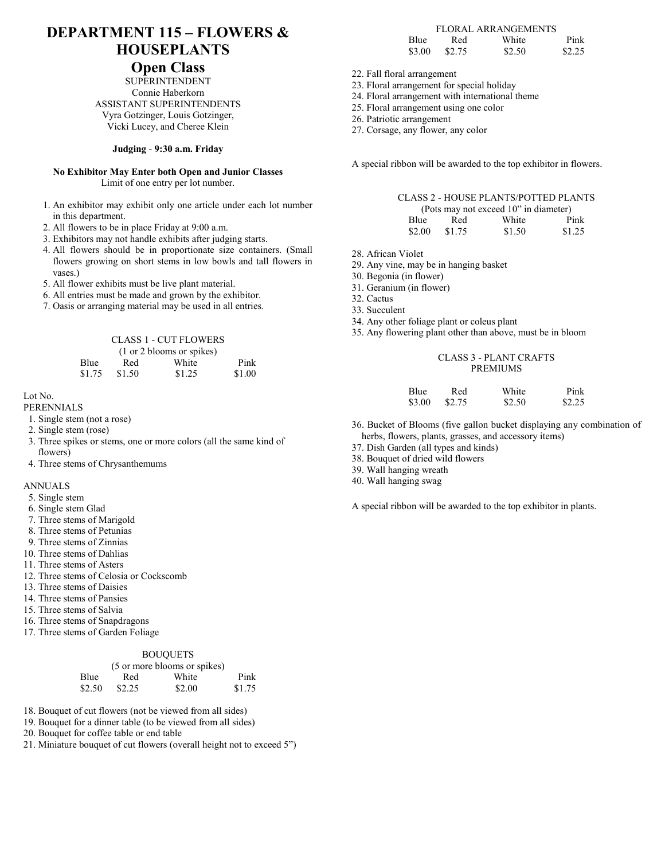# **DEPARTMENT 115 – FLOWERS & HOUSEPLANTS**

### **Open Class**

SUPERINTENDENT Connie Haberkorn ASSISTANT SUPERINTENDENTS Vyra Gotzinger, Louis Gotzinger, Vicki Lucey, and Cheree Klein

#### **Judging** - **9:30 a.m. Friday**

**No Exhibitor May Enter both Open and Junior Classes** Limit of one entry per lot number.

- 1. An exhibitor may exhibit only one article under each lot number in this department.
- 2. All flowers to be in place Friday at 9:00 a.m.
- 3. Exhibitors may not handle exhibits after judging starts.
- 4. All flowers should be in proportionate size containers. (Small flowers growing on short stems in low bowls and tall flowers in vases.)
- 5. All flower exhibits must be live plant material.
- 6. All entries must be made and grown by the exhibitor.
- 7. Oasis or arranging material may be used in all entries.

#### CLASS 1 - CUT FLOWERS (1 or 2 blooms or spikes) Blue Red White Pink \$1.75 \$1.50 \$1.25 \$1.00

Lot No.

- PERENNIALS
- 1. Single stem (not a rose)
- 2. Single stem (rose)
- 3. Three spikes or stems, one or more colors (all the same kind of flowers)
- 4. Three stems of Chrysanthemums

#### ANNUALS

- 5. Single stem
- 6. Single stem Glad
- 7. Three stems of Marigold
- 8. Three stems of Petunias
- 9. Three stems of Zinnias
- 10. Three stems of Dahlias
- 11. Three stems of Asters
- 12. Three stems of Celosia or Cockscomb
- 13. Three stems of Daisies
- 14. Three stems of Pansies
- 15. Three stems of Salvia
- 16. Three stems of Snapdragons
- 17. Three stems of Garden Foliage

#### BOUQUETS

|        |        | (5 or more blooms or spikes) |        |
|--------|--------|------------------------------|--------|
| Blue   | Red    | White                        | Pink   |
| \$2.50 | \$2.25 | \$2.00                       | \$1.75 |

- 18. Bouquet of cut flowers (not be viewed from all sides)
- 19. Bouquet for a dinner table (to be viewed from all sides)
- 20. Bouquet for coffee table or end table
- 21. Miniature bouquet of cut flowers (overall height not to exceed 5")

### FLORAL ARRANGEMENTS

| <b>Blue</b> | Red    | White  | Pink   |
|-------------|--------|--------|--------|
| \$3.00      | \$2.75 | \$2.50 | \$2.25 |

- 22. Fall floral arrangement
- 23. Floral arrangement for special holiday
- 24. Floral arrangement with international theme
- 25. Floral arrangement using one color
- 26. Patriotic arrangement
- 27. Corsage, any flower, any color

A special ribbon will be awarded to the top exhibitor in flowers.

|                                       |        | <b>CLASS 2 - HOUSE PLANTS/POTTED PLANTS</b> |        |  |
|---------------------------------------|--------|---------------------------------------------|--------|--|
| (Pots may not exceed 10" in diameter) |        |                                             |        |  |
| Blue                                  | Red    | White                                       | Pink   |  |
| \$2.00                                | \$1.75 | \$1.50                                      | \$1.25 |  |

28. African Violet

- 29. Any vine, may be in hanging basket
- 30. Begonia (in flower)
- 31. Geranium (in flower)
- 32. Cactus
- 33. Succulent
- 34. Any other foliage plant or coleus plant
- 35. Any flowering plant other than above, must be in bloom

#### CLASS 3 - PLANT CRAFTS PREMIUMS

| Blue   | Red    | White  | Pink   |
|--------|--------|--------|--------|
| \$3.00 | \$2.75 | \$2.50 | \$2.25 |

- 36. Bucket of Blooms (five gallon bucket displaying any combination of herbs, flowers, plants, grasses, and accessory items)
- 37. Dish Garden (all types and kinds)
- 38. Bouquet of dried wild flowers
- 39. Wall hanging wreath
- 40. Wall hanging swag

A special ribbon will be awarded to the top exhibitor in plants.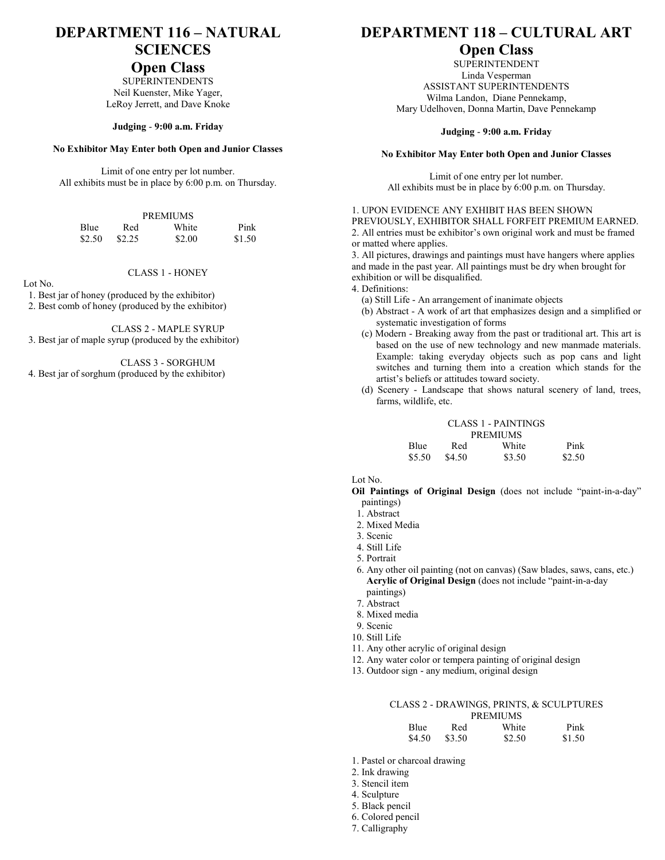# **DEPARTMENT 116 – NATURAL SCIENCES**

### **Open Class**

SUPERINTENDENTS Neil Kuenster, Mike Yager, LeRoy Jerrett, and Dave Knoke

#### **Judging** - **9:00 a.m. Friday**

#### **No Exhibitor May Enter both Open and Junior Classes**

Limit of one entry per lot number. All exhibits must be in place by 6:00 p.m. on Thursday.

|        |        | <b>PREMIUMS</b> |        |
|--------|--------|-----------------|--------|
| Blue   | Red    | White           | Pink   |
| \$2.50 | \$2.25 | \$2.00          | \$1.50 |

#### CLASS 1 - HONEY

#### Lot No.

1. Best jar of honey (produced by the exhibitor)

2. Best comb of honey (produced by the exhibitor)

CLASS 2 - MAPLE SYRUP

3. Best jar of maple syrup (produced by the exhibitor)

CLASS 3 - SORGHUM

4. Best jar of sorghum (produced by the exhibitor)

## **DEPARTMENT 118 – CULTURAL ART**

## **Open Class**

SUPERINTENDENT Linda Vesperman ASSISTANT SUPERINTENDENTS Wilma Landon, Diane Pennekamp, Mary Udelhoven, Donna Martin, Dave Pennekamp

#### **Judging** - **9:00 a.m. Friday**

#### **No Exhibitor May Enter both Open and Junior Classes**

Limit of one entry per lot number. All exhibits must be in place by 6:00 p.m. on Thursday.

#### 1. UPON EVIDENCE ANY EXHIBIT HAS BEEN SHOWN

PREVIOUSLY, EXHIBITOR SHALL FORFEIT PREMIUM EARNED. 2. All entries must be exhibitor's own original work and must be framed or matted where applies.

3. All pictures, drawings and paintings must have hangers where applies and made in the past year. All paintings must be dry when brought for exhibition or will be disqualified.

4. Definitions:

- (a) Still Life An arrangement of inanimate objects
- (b) Abstract A work of art that emphasizes design and a simplified or systematic investigation of forms
- (c) Modern Breaking away from the past or traditional art. This art is based on the use of new technology and new manmade materials. Example: taking everyday objects such as pop cans and light switches and turning them into a creation which stands for the artist's beliefs or attitudes toward society.
- (d) Scenery Landscape that shows natural scenery of land, trees, farms, wildlife, etc.

#### CLASS 1 - PAINTINGS PREMIUMS Blue Red White Pink \$5.50 \$4.50 \$3.50 \$2.50

Lot No.

**Oil Paintings of Original Design** (does not include "paint-in-a-day" paintings)

- 1. Abstract
- 2. Mixed Media
- 3. Scenic
- 4. Still Life
- 5. Portrait
- 6. Any other oil painting (not on canvas) (Saw blades, saws, cans, etc.) **Acrylic of Original Design** (does not include "paint-in-a-day paintings)
- 7. Abstract
- 8. Mixed media
- 9. Scenic
- 10. Still Life
- 11. Any other acrylic of original design
- 12. Any water color or tempera painting of original design
- 13. Outdoor sign any medium, original design

## CLASS 2 - DRAWINGS, PRINTS, & SCULPTURES

| <b>PREMIUMS</b> |        |        |        |
|-----------------|--------|--------|--------|
| <b>Blue</b>     | Red    | White  | Pink   |
| \$4.50          | \$3.50 | \$2.50 | \$1.50 |

- 1. Pastel or charcoal drawing
- 2. Ink drawing
- 3. Stencil item
- 4. Sculpture
- 5. Black pencil
- 6. Colored pencil
- 7. Calligraphy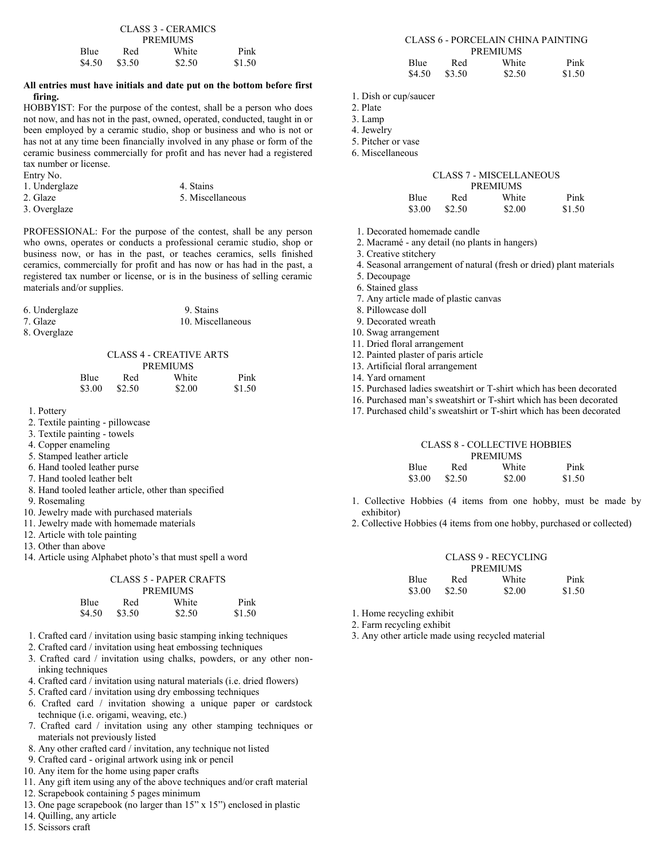| CLASS 3 - CERAMICS                   |     |                 |      |  |  |
|--------------------------------------|-----|-----------------|------|--|--|
|                                      |     | <b>PREMIUMS</b> |      |  |  |
| Blue                                 | Red | White           | Pink |  |  |
| \$4.50<br>\$1.50<br>\$2.50<br>\$3.50 |     |                 |      |  |  |

#### **All entries must have initials and date put on the bottom before first firing.**

HOBBYIST: For the purpose of the contest, shall be a person who does not now, and has not in the past, owned, operated, conducted, taught in or been employed by a ceramic studio, shop or business and who is not or has not at any time been financially involved in any phase or form of the ceramic business commercially for profit and has never had a registered tax number or license.

| 1. Underglaze | 4. Stains        |  |
|---------------|------------------|--|
| 2. Glaze      | 5. Miscellaneous |  |
| $\sim$        |                  |  |

3. Overglaze

Entry No.

PROFESSIONAL: For the purpose of the contest, shall be any person who owns, operates or conducts a professional ceramic studio, shop or business now, or has in the past, or teaches ceramics, sells finished ceramics, commercially for profit and has now or has had in the past, a registered tax number or license, or is in the business of selling ceramic materials and/or supplies.

| 6. Underglaze | 9. Stains         |
|---------------|-------------------|
| 7. Glaze      | 10. Miscellaneous |
| 8. Overglaze  |                   |

| o. Overgiaze |  |
|--------------|--|
|              |  |

|        |        | CLASS 4 - CREATIVE ARTS |        |
|--------|--------|-------------------------|--------|
|        |        | <b>PREMIUMS</b>         |        |
| Blue   | Red    | White                   | Pink   |
| \$3.00 | \$2.50 | \$2.00                  | \$1.50 |

 $\alpha$  :  $\alpha$  +  $\alpha$  -  $\alpha$  +  $\alpha$  +  $\alpha$  +  $\alpha$  +  $\alpha$  +  $\alpha$ 

1. Pottery

- 2. Textile painting pillowcase
- 3. Textile painting towels
- 4. Copper enameling
- 5. Stamped leather article
- 6. Hand tooled leather purse
- 7. Hand tooled leather belt
- 8. Hand tooled leather article, other than specified
- 9. Rosemaling
- 10. Jewelry made with purchased materials
- 11. Jewelry made with homemade materials
- 12. Article with tole painting
- 13. Other than above
- 14. Article using Alphabet photo's that must spell a word

|        | <b>CLASS 5 - PAPER CRAFTS</b> |                 |        |
|--------|-------------------------------|-----------------|--------|
|        |                               | <b>PREMIUMS</b> |        |
| Blue   | Red                           | White           | Pink   |
| \$4.50 | \$3.50                        | \$2.50          | \$1.50 |

- 1. Crafted card / invitation using basic stamping inking techniques
- 2. Crafted card / invitation using heat embossing techniques
- 3. Crafted card / invitation using chalks, powders, or any other noninking techniques
- 4. Crafted card / invitation using natural materials (i.e. dried flowers)
- 5. Crafted card / invitation using dry embossing techniques
- 6. Crafted card / invitation showing a unique paper or cardstock technique (i.e. origami, weaving, etc.)
- 7. Crafted card / invitation using any other stamping techniques or materials not previously listed
- 8. Any other crafted card / invitation, any technique not listed
- 9. Crafted card original artwork using ink or pencil
- 10. Any item for the home using paper crafts
- 11. Any gift item using any of the above techniques and/or craft material
- 12. Scrapebook containing 5 pages minimum
- 13. One page scrapebook (no larger than 15" x 15") enclosed in plastic
- 14. Quilling, any article
- 15. Scissors craft

|             |     | CLASS 6 - PORCELAIN CHINA PAINTING |      |
|-------------|-----|------------------------------------|------|
|             |     | <b>PREMIUMS</b>                    |      |
| <b>Blue</b> | Red | White                              | Pink |

\$4.50 \$3.50 \$2.50 \$1.50

- 1. Dish or cup/saucer
- 2. Plate
- 3. Lamp
- 4. Jewelry
- 5. Pitcher or vase
- 6. Miscellaneous

#### CLASS 7 - MISCELLANEOUS **PREMIUMS**

| <b>Blue</b> | Red    | White  | Pink   |
|-------------|--------|--------|--------|
| \$3.00      | \$2.50 | \$2.00 | \$1.50 |

- 1. Decorated homemade candle
- 2. Macramé any detail (no plants in hangers)
- 3. Creative stitchery
- 4. Seasonal arrangement of natural (fresh or dried) plant materials
- 5. Decoupage
- 6. Stained glass
- 7. Any article made of plastic canvas
- 8. Pillowcase doll
- 9. Decorated wreath
- 10. Swag arrangement
- 11. Dried floral arrangement
- 12. Painted plaster of paris article
- 13. Artificial floral arrangement
- 14. Yard ornament
- 15. Purchased ladies sweatshirt or T-shirt which has been decorated
- 16. Purchased man's sweatshirt or T-shirt which has been decorated
- 17. Purchased child's sweatshirt or T-shirt which has been decorated

### CLASS 8 - COLLECTIVE HOBBIES PREMIUMS

| Blue   | Red    | White  | Pink   |
|--------|--------|--------|--------|
| \$3.00 | \$2.50 | \$2.00 | \$1.50 |

- 1. Collective Hobbies (4 items from one hobby, must be made by exhibitor)
- 2. Collective Hobbies (4 items from one hobby, purchased or collected)

|             |        | CLASS 9 - RECYCLING |        |
|-------------|--------|---------------------|--------|
|             |        | <b>PREMIUMS</b>     |        |
| <b>Blue</b> | Red    | White               | Pink   |
| \$3.00      | \$2.50 | \$2.00              | \$1.50 |

- 1. Home recycling exhibit
- 2. Farm recycling exhibit
- 3. Any other article made using recycled material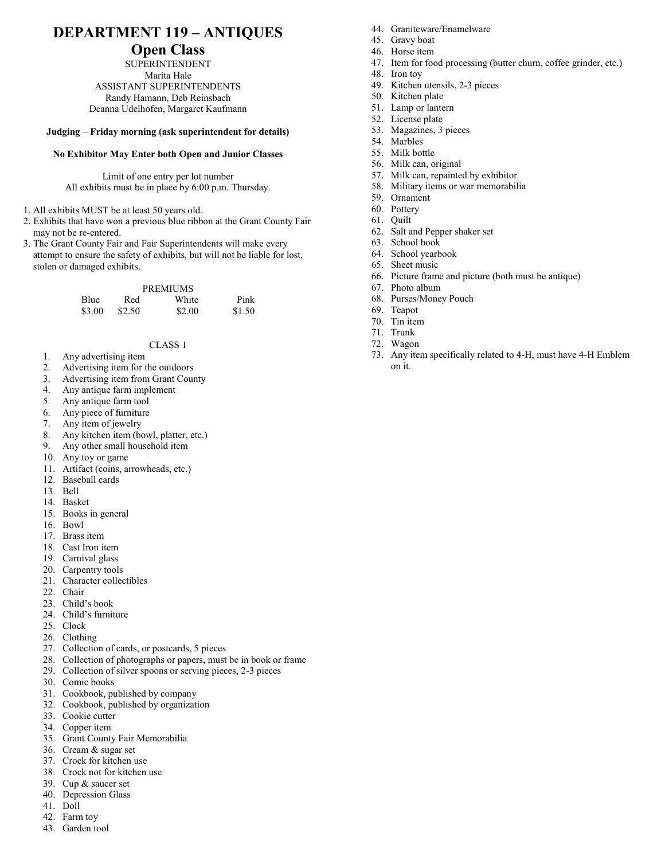# **DEPARTMENT 119 – ANTIQUES**

### **Open Class**

SUPERINTENDENT Marita Hale ASSISTANT SUPERINTENDENTS Randy Hamann, Deb Reinsbach Deanna Udelhofen, Margaret Kaufmann

#### **Judging** – **Friday morning (ask superintendent for details)**

#### **No Exhibitor May Enter both Open and Junior Classes**

Limit of one entry per lot number All exhibits must be in place by 6:00 p.m. Thursday.

- 1. All exhibits MUST be at least 50 years old.
- 2. Exhibits that have won a previous blue ribbon at the Grant County Fair may not be re-entered.
- 3. The Grant County Fair and Fair Superintendents will make every attempt to ensure the safety of exhibits, but will not be liable for lost, stolen or damaged exhibits.

#### PREMIUMS

| <b>Blue</b> | Red    | White  | Pink   |
|-------------|--------|--------|--------|
| \$3.00      | \$2.50 | \$2.00 | \$1.50 |

#### CLASS 1

- 1. Any advertising item
- 2. Advertising item for the outdoors
- 3. Advertising item from Grant County
- 4. Any antique farm implement
- 5. Any antique farm tool
- 6. Any piece of furniture
- 7. Any item of jewelry
- 8. Any kitchen item (bowl, platter, etc.)
- 9. Any other small household item
- 10. Any toy or game
- 11. Artifact (coins, arrowheads, etc.)
- 12. Baseball cards
- 13. Bell
- 14. Basket
- 15. Books in general
- 16. Bowl
- 17. Brass item
- 18. Cast Iron item
- 19. Carnival glass
- 20. Carpentry tools
- 21. Character collectibles
- 22. Chair
- 23. Child's book
- 24. Child's furniture
- 25. Clock
- 26. Clothing
- 27. Collection of cards, or postcards, 5 pieces
- 28. Collection of photographs or papers, must be in book or frame
- 29. Collection of silver spoons or serving pieces, 2-3 pieces
- 30. Comic books
- 31. Cookbook, published by company
- 32. Cookbook, published by organization
- 33. Cookie cutter
- 34. Copper item
- 35. Grant County Fair Memorabilia
- 36. Cream & sugar set
- 37. Crock for kitchen use
- 38. Crock not for kitchen use
- 39. Cup & saucer set
- 40. Depression Glass
- 41. Doll 42. Farm toy
- 43. Garden tool
- 44. Graniteware/Enamelware
- 45. Gravy boat
- 46. Horse item
- 47. Item for food processing (butter churn, coffee grinder, etc.)
- 48. Iron toy
- 49. Kitchen utensils, 2-3 pieces
- 50. Kitchen plate
- 51. Lamp or lantern
- 52. License plate
- 53. Magazines, 3 pieces
- 54. Marbles
- 55. Milk bottle
- 56. Milk can, original
- 57. Milk can, repainted by exhibitor
- 58. Military items or war memorabilia
- 59. Ornament
- 60. Pottery
- 61. Quilt
- 62. Salt and Pepper shaker set
- 63. School book
- 64. School yearbook
- 65. Sheet music
- 66. Picture frame and picture (both must be antique)
- 67. Photo album
- 68. Purses/Money Pouch
- 69. Teapot
- 70. Tin item
- 71. Trunk
- 72. Wagon
- 73. Any item specifically related to 4-H, must have 4-H Emblem on it.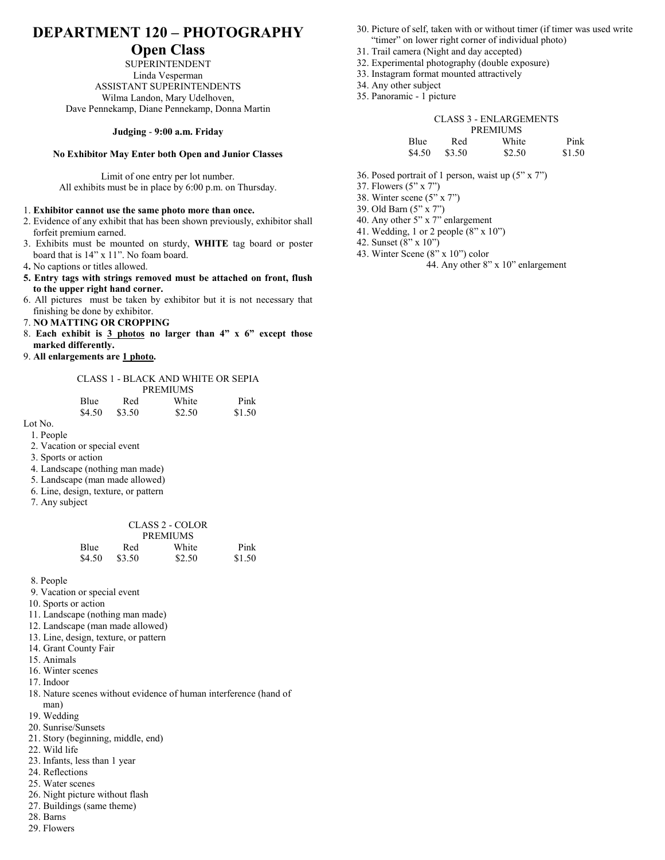## **DEPARTMENT 120 – PHOTOGRAPHY**

### **Open Class**

SUPERINTENDENT Linda Vesperman ASSISTANT SUPERINTENDENTS Wilma Landon, Mary Udelhoven, Dave Pennekamp, Diane Pennekamp, Donna Martin

#### **Judging** - **9:00 a.m. Friday**

#### **No Exhibitor May Enter both Open and Junior Classes**

Limit of one entry per lot number. All exhibits must be in place by 6:00 p.m. on Thursday.

#### 1. **Exhibitor cannot use the same photo more than once.**

- 2. Evidence of any exhibit that has been shown previously, exhibitor shall forfeit premium earned.
- 3. Exhibits must be mounted on sturdy, **WHITE** tag board or poster board that is 14" x 11". No foam board.
- 4**.** No captions or titles allowed.
- **5. Entry tags with strings removed must be attached on front, flush to the upper right hand corner.**
- 6. All pictures must be taken by exhibitor but it is not necessary that finishing be done by exhibitor.
- 7. **NO MATTING OR CROPPING**
- 8. **Each exhibit is 3 photos no larger than 4" x 6" except those marked differently.**
- 9. **All enlargements are 1 photo.**

#### CLASS 1 - BLACK AND WHITE OR SEPIA PREMIUMS

|   | <b>Blue</b> | Red    | White  | Pink   |
|---|-------------|--------|--------|--------|
|   | \$4.50      | \$3.50 | \$2.50 | \$1.50 |
| т |             |        |        |        |

- Lot No.
	- 1. People
	- 2. Vacation or special event
	- 3. Sports or action
	- 4. Landscape (nothing man made)
	- 5. Landscape (man made allowed)
	- 6. Line, design, texture, or pattern
	- 7. Any subject

|        |        | CLASS 2 - COLOR |        |
|--------|--------|-----------------|--------|
|        |        | <b>PREMIUMS</b> |        |
| Blue   | Red    | White           | Pink   |
| \$4.50 | \$3.50 | \$2.50          | \$1.50 |

8. People

- 9. Vacation or special event
- 10. Sports or action
- 11. Landscape (nothing man made)
- 12. Landscape (man made allowed)
- 13. Line, design, texture, or pattern
- 14. Grant County Fair
- 15. Animals
- 16. Winter scenes
- 17. Indoor
- 18. Nature scenes without evidence of human interference (hand of man)
- 19. Wedding
- 20. Sunrise/Sunsets
- 21. Story (beginning, middle, end)
- 22. Wild life
- 23. Infants, less than 1 year
- 24. Reflections
- 25. Water scenes
- 26. Night picture without flash
- 27. Buildings (same theme)
- 28. Barns
- 29. Flowers
- 30. Picture of self, taken with or without timer (if timer was used write "timer" on lower right corner of individual photo)
- 31. Trail camera (Night and day accepted)
- 32. Experimental photography (double exposure)
- 33. Instagram format mounted attractively
- 34. Any other subject
- 35. Panoramic 1 picture

#### CLASS 3 - ENLARGEMENTS

|        |        | <b>PREMIUMS</b> |        |
|--------|--------|-----------------|--------|
| Blue   | Red    | White           | Pink   |
| \$4.50 | \$3.50 | \$2.50          | \$1.50 |

- 36. Posed portrait of 1 person, waist up (5" x 7")
- 37. Flowers (5" x 7")
- 38. Winter scene (5" x 7")
- 39. Old Barn (5" x 7")
- 40. Any other 5" x 7" enlargement
- 41. Wedding, 1 or 2 people (8" x 10")
- 42. Sunset (8" x 10")
- 43. Winter Scene (8" x 10") color 44. Any other 8" x 10" enlargement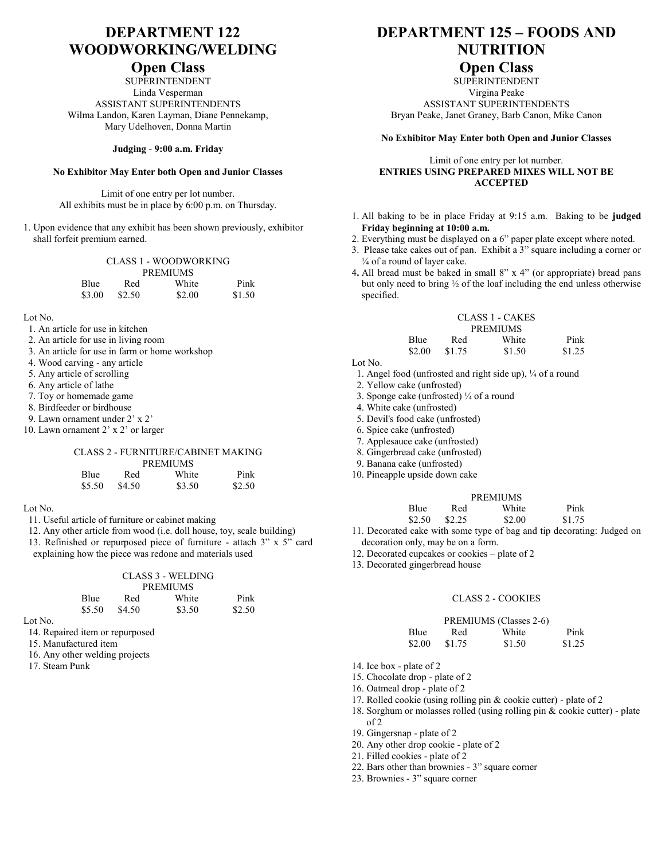# **DEPARTMENT 122 WOODWORKING/WELDING**

### **Open Class**

SUPERINTENDENT Linda Vesperman ASSISTANT SUPERINTENDENTS Wilma Landon, Karen Layman, Diane Pennekamp, Mary Udelhoven, Donna Martin

#### **Judging** - **9:00 a.m. Friday**

#### **No Exhibitor May Enter both Open and Junior Classes**

Limit of one entry per lot number. All exhibits must be in place by 6:00 p.m. on Thursday.

1. Upon evidence that any exhibit has been shown previously, exhibitor shall forfeit premium earned.

|        |        | <b>CLASS 1 - WOODWORKING</b> |        |
|--------|--------|------------------------------|--------|
|        |        | <b>PREMIUMS</b>              |        |
| Blue   | Red    | White                        | Pink   |
| \$3.00 | \$2.50 | \$2.00                       | \$1.50 |

Lot No.

- 1. An article for use in kitchen
- 2. An article for use in living room
- 3. An article for use in farm or home workshop
- 4. Wood carving any article
- 5. Any article of scrolling
- 6. Any article of lathe
- 7. Toy or homemade game
- 8. Birdfeeder or birdhouse
- 9. Lawn ornament under 2' x 2'
- 10. Lawn ornament 2' x 2' or larger

#### CLASS 2 - FURNITURE/CABINET MAKING

| <b>PREMIUMS</b> |        |        |        |  |
|-----------------|--------|--------|--------|--|
| <b>Blue</b>     | Red    | White  | Pink   |  |
| \$5.50          | \$4.50 | \$3.50 | \$2.50 |  |

Lot No.

- 11. Useful article of furniture or cabinet making
- 12. Any other article from wood (i.e. doll house, toy, scale building)
- 13. Refinished or repurposed piece of furniture attach 3" x 5" card explaining how the piece was redone and materials used

#### CLASS 3 - WELDING PREMIUMS<br>White Blue Red White Pink

|         | 1,10C | $\cdots$        | $\cdots$ | $\blacksquare$ |
|---------|-------|-----------------|----------|----------------|
|         |       | $$5.50$ $$4.50$ | \$3.50   | \$2.50         |
| Lot No. |       |                 |          |                |

14. Repaired item or repurposed

- 15. Manufactured item
- 16. Any other welding projects
- 17. Steam Punk

# **DEPARTMENT 125 – FOODS AND NUTRITION**

## **Open Class**

**SUPERINTENDENT** Virgina Peake ASSISTANT SUPERINTENDENTS Bryan Peake, Janet Graney, Barb Canon, Mike Canon

#### **No Exhibitor May Enter both Open and Junior Classes**

#### Limit of one entry per lot number. **ENTRIES USING PREPARED MIXES WILL NOT BE ACCEPTED**

- 1. All baking to be in place Friday at 9:15 a.m. Baking to be **judged Friday beginning at 10:00 a.m.**
- 2. Everything must be displayed on a 6" paper plate except where noted.
- 3. Please take cakes out of pan. Exhibit a 3" square including a corner or ¼ of a round of layer cake.
- 4**.** All bread must be baked in small 8" x 4" (or appropriate) bread pans but only need to bring ½ of the loaf including the end unless otherwise specified.

|             | CLASS 1 - CAKES |                 |        |
|-------------|-----------------|-----------------|--------|
|             |                 | <b>PREMIUMS</b> |        |
| <b>Blue</b> | Red             | White           | Pink   |
| \$2.00      | \$1.75          | \$1.50          | \$1.25 |

Lot No.

1. Angel food (unfrosted and right side up), ¼ of a round

2. Yellow cake (unfrosted)

- 3. Sponge cake (unfrosted)  $\frac{1}{4}$  of a round
- 4. White cake (unfrosted)
- 5. Devil's food cake (unfrosted)
- 6. Spice cake (unfrosted)
- 7. Applesauce cake (unfrosted)
- 8. Gingerbread cake (unfrosted)
- 9. Banana cake (unfrosted)
- 10. Pineapple upside down cake

#### PREMIUMS

| <b>Blue</b> | Red    | White  | Pink   |
|-------------|--------|--------|--------|
| \$2.50      | \$2.25 | \$2.00 | \$1.75 |

- 11. Decorated cake with some type of bag and tip decorating: Judged on decoration only, may be on a form.
- 12. Decorated cupcakes or cookies plate of 2
- 13. Decorated gingerbread house

#### CLASS 2 - COOKIES

### PREMIUMS (Classes 2-6)

| <b>Blue</b> | Red    | White  | Pink   |
|-------------|--------|--------|--------|
| \$2.00      | \$1.75 | \$1.50 | \$1.25 |

14. Ice box - plate of 2

15. Chocolate drop - plate of 2

16. Oatmeal drop - plate of 2

- 17. Rolled cookie (using rolling pin & cookie cutter) plate of 2
- 18. Sorghum or molasses rolled (using rolling pin & cookie cutter) plate of 2
	- 19. Gingersnap plate of 2
	- 20. Any other drop cookie plate of 2
	- 21. Filled cookies plate of 2
	- 22. Bars other than brownies 3" square corner
	- 23. Brownies 3" square corner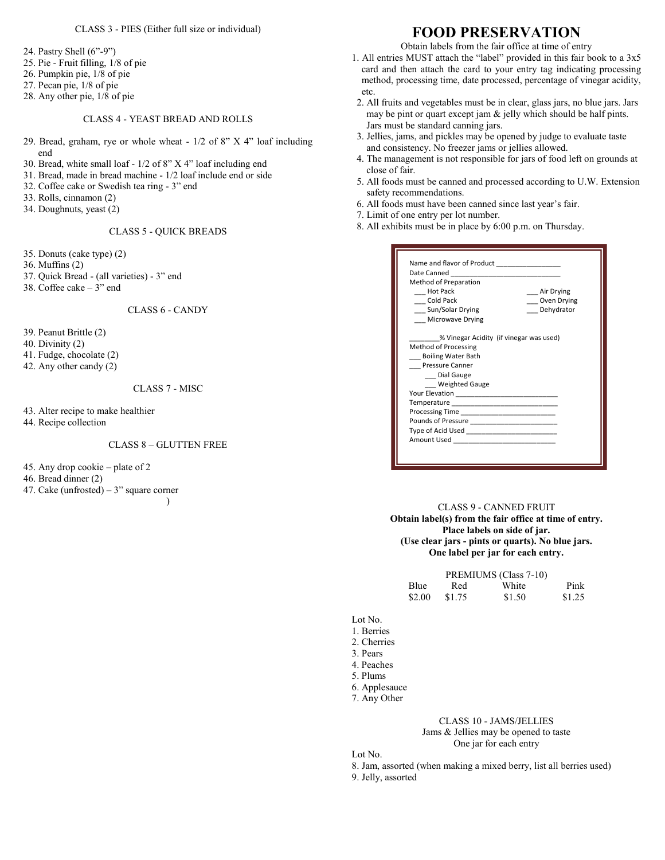#### CLASS 3 - PIES (Either full size or individual)

24. Pastry Shell (6"-9")

- 25. Pie Fruit filling, 1/8 of pie
- 26. Pumpkin pie, 1/8 of pie
- 27. Pecan pie, 1/8 of pie
- 28. Any other pie, 1/8 of pie

#### CLASS 4 - YEAST BREAD AND ROLLS

- 29. Bread, graham, rye or whole wheat 1/2 of 8" X 4" loaf including end
- 30. Bread, white small loaf 1/2 of 8" X 4" loaf including end
- 31. Bread, made in bread machine 1/2 loaf include end or side
- 32. Coffee cake or Swedish tea ring 3" end
- 33. Rolls, cinnamon (2)
- 34. Doughnuts, yeast (2)

CLASS 5 - QUICK BREADS

- 35. Donuts (cake type) (2)
- 36. Muffins (2)
- 37. Quick Bread (all varieties) 3" end
- 38. Coffee cake 3" end

CLASS 6 - CANDY

- 39. Peanut Brittle (2)
- 40. Divinity (2)
- 41. Fudge, chocolate (2)
- 42. Any other candy (2)

#### CLASS 7 - MISC

43. Alter recipe to make healthier

44. Recipe collection

#### CLASS 8 – GLUTTEN FREE

45. Any drop cookie – plate of 2

- 46. Bread dinner (2)
- 47. Cake (unfrosted) 3" square corner

 $\lambda$ 

## **FOOD PRESERVATION**

Obtain labels from the fair office at time of entry

- 1. All entries MUST attach the "label" provided in this fair book to a 3x5 card and then attach the card to your entry tag indicating processing method, processing time, date processed, percentage of vinegar acidity, etc.
- 2. All fruits and vegetables must be in clear, glass jars, no blue jars. Jars may be pint or quart except jam & jelly which should be half pints. Jars must be standard canning jars.
- 3. Jellies, jams, and pickles may be opened by judge to evaluate taste and consistency. No freezer jams or jellies allowed.
- 4. The management is not responsible for jars of food left on grounds at close of fair.
- 5. All foods must be canned and processed according to U.W. Extension safety recommendations.
- 6. All foods must have been canned since last year's fair.
- 7. Limit of one entry per lot number.
- 8. All exhibits must be in place by 6:00 p.m. on Thursday.

| Name and flavor of Product _________________ |             |  |
|----------------------------------------------|-------------|--|
|                                              |             |  |
| Method of Preparation                        |             |  |
| Hot Pack                                     | Air Drying  |  |
| Cold Pack                                    | Oven Drying |  |
| Sun/Solar Drying                             | Dehydrator  |  |
| <b>Microwave Drying</b>                      |             |  |
| % Vinegar Acidity (if vinegar was used)      |             |  |
| Method of Processing                         |             |  |
| <b>Boiling Water Bath</b>                    |             |  |
| <b>Pressure Canner</b>                       |             |  |
| Dial Gauge                                   |             |  |
| Weighted Gauge                               |             |  |
|                                              |             |  |
|                                              |             |  |
|                                              |             |  |
|                                              |             |  |
|                                              |             |  |
|                                              |             |  |
|                                              |             |  |
|                                              |             |  |

#### CLASS 9 - CANNED FRUIT **Obtain label(s) from the fair office at time of entry. Place labels on side of jar. (Use clear jars - pints or quarts). No blue jars. One label per jar for each entry.**

|             |        | PREMIUMS (Class 7-10) |        |
|-------------|--------|-----------------------|--------|
| <b>Blue</b> | Red    | White                 | Pink   |
| \$2.00      | \$1.75 | \$1.50                | \$1.25 |

Lot No.

- 1. Berries
- 2. Cherries
- 3. Pears

4. Peaches

- 5. Plums
- 6. Applesauce
- 7. Any Other

#### CLASS 10 - JAMS/JELLIES Jams & Jellies may be opened to taste One jar for each entry

Lot No.

8. Jam, assorted (when making a mixed berry, list all berries used) 9. Jelly, assorted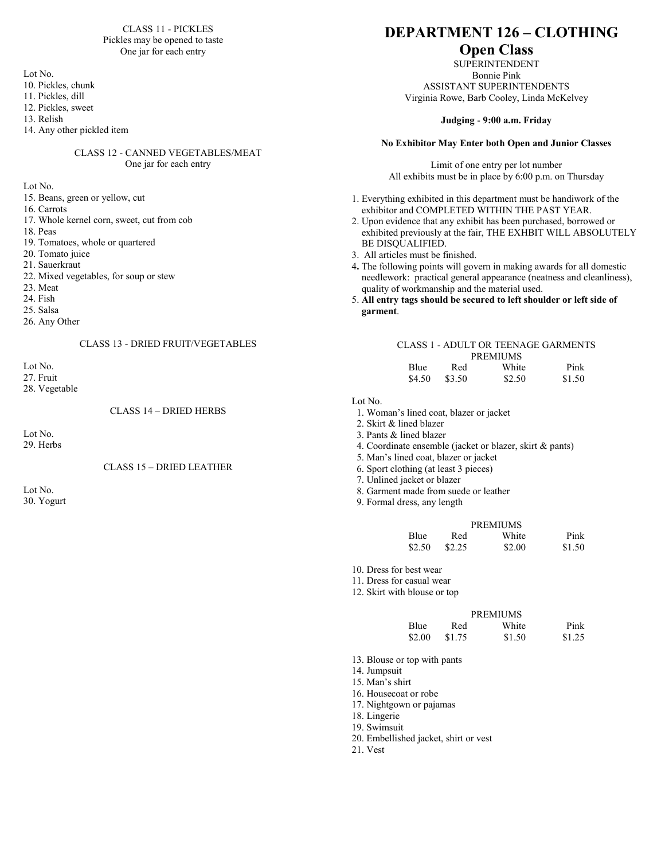#### CLASS 11 - PICKLES Pickles may be opened to taste One jar for each entry

Lot No.

- 10. Pickles, chunk
- 11. Pickles, dill
- 12. Pickles, sweet

13. Relish

14. Any other pickled item

#### CLASS 12 - CANNED VEGETABLES/MEAT One jar for each entry

Lot No.

- 15. Beans, green or yellow, cut
- 16. Carrots 17. Whole kernel corn, sweet, cut from cob
- 18. Peas
- 19. Tomatoes, whole or quartered
- 20. Tomato juice
- 21. Sauerkraut
- 22. Mixed vegetables, for soup or stew
- 23. Meat
- 24. Fish
- 25. Salsa
- 26. Any Other

#### CLASS 13 - DRIED FRUIT/VEGETABLES

Lot No. 27. Fruit

28. Vegetable

CLASS 14 – DRIED HERBS

Lot No. 29. Herbs

#### CLASS 15 – DRIED LEATHER

Lot No. 30. Yogurt

## **DEPARTMENT 126 – CLOTHING**

## **Open Class**

SUPERINTENDENT Bonnie Pink

ASSISTANT SUPERINTENDENTS Virginia Rowe, Barb Cooley, Linda McKelvey

#### **Judging** - **9:00 a.m. Friday**

#### **No Exhibitor May Enter both Open and Junior Classes**

Limit of one entry per lot number All exhibits must be in place by 6:00 p.m. on Thursday

- 1. Everything exhibited in this department must be handiwork of the exhibitor and COMPLETED WITHIN THE PAST YEAR.
- 2. Upon evidence that any exhibit has been purchased, borrowed or exhibited previously at the fair, THE EXHBIT WILL ABSOLUTELY BE DISQUALIFIED.
- 3. All articles must be finished.
- 4**.** The following points will govern in making awards for all domestic needlework: practical general appearance (neatness and cleanliness), quality of workmanship and the material used.
- 5. **All entry tags should be secured to left shoulder or left side of garment**.

### CLASS 1 - ADULT OR TEENAGE GARMENTS

| <b>PREMIUMS</b> |        |        |        |  |
|-----------------|--------|--------|--------|--|
| Blue            | Red    | White  | Pink   |  |
| \$4.50          | \$3.50 | \$2.50 | \$1.50 |  |

Lot No.

- 1. Woman's lined coat, blazer or jacket
- 2. Skirt & lined blazer
- 3. Pants & lined blazer
- 4. Coordinate ensemble (jacket or blazer, skirt & pants)
- 5. Man's lined coat, blazer or jacket
- 6. Sport clothing (at least 3 pieces)
- 7. Unlined jacket or blazer
- 8. Garment made from suede or leather
- 9. Formal dress, any length

|             |        | <b>PREMIUMS</b> |        |
|-------------|--------|-----------------|--------|
| <b>Blue</b> | Red    | White           | Pink   |
| \$2.50      | \$2.25 | \$2.00          | \$1.50 |

- 10. Dress for best wear
- 11. Dress for casual wear
- 12. Skirt with blouse or top

### PREMIUMS

| <b>Blue</b> | Red    | White  | Pink   |
|-------------|--------|--------|--------|
| \$2.00      | \$1.75 | \$1.50 | \$1.25 |

- 13. Blouse or top with pants
- 14. Jumpsuit
- 15. Man's shirt
- 16. Housecoat or robe
- 17. Nightgown or pajamas
- 18. Lingerie
- 19. Swimsuit
- 20. Embellished jacket, shirt or vest
- 21. Vest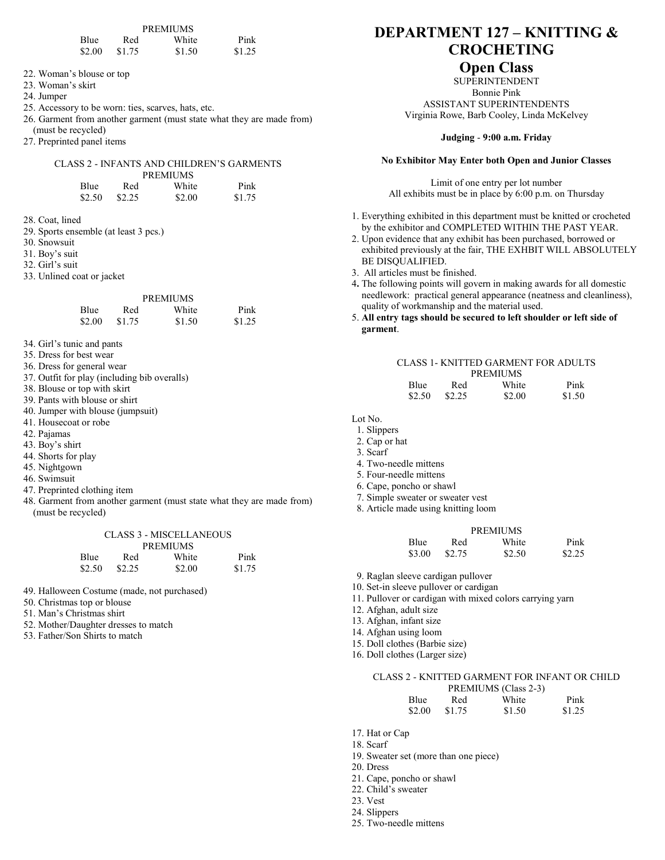| Blue   | Red    | White  | Pink   |
|--------|--------|--------|--------|
| \$2.00 | \$1.75 | \$1.50 | \$1.25 |

22. Woman's blouse or top

23. Woman's skirt

- 24. Jumper
- 25. Accessory to be worn: ties, scarves, hats, etc.
- 26. Garment from another garment (must state what they are made from) (must be recycled)
- 27. Preprinted panel items

#### CLASS 2 - INFANTS AND CHILDREN'S GARMENTS **PREMIUMS**

| Blue   | Red    | White  | Pink   |
|--------|--------|--------|--------|
| \$2.50 | \$2.25 | \$2.00 | \$1.75 |

28. Coat, lined

- 29. Sports ensemble (at least 3 pcs.)
- 30. Snowsuit

31. Boy's suit

- 32. Girl's suit
- 33. Unlined coat or jacket

|        |        | <b>PREMIUMS</b> |        |
|--------|--------|-----------------|--------|
| Blue   | Red    | White           | Pink   |
| \$2.00 | \$1.75 | \$1.50          | \$1.25 |

- 34. Girl's tunic and pants
- 35. Dress for best wear
- 36. Dress for general wear
- 37. Outfit for play (including bib overalls)
- 38. Blouse or top with skirt
- 39. Pants with blouse or shirt
- 40. Jumper with blouse (jumpsuit)
- 41. Housecoat or robe
- 42. Pajamas
- 43. Boy's shirt
- 44. Shorts for play
- 45. Nightgown
- 46. Swimsuit
- 47. Preprinted clothing item
- 48. Garment from another garment (must state what they are made from) (must be recycled)

CLASS 3 - MISCELLANEOUS **PREMIUM COM** 

|        |        | PREMIUMS |        |
|--------|--------|----------|--------|
| Blue   | Red    | White    | Pink   |
| \$2.50 | \$2.25 | \$2.00   | \$1.75 |

49. Halloween Costume (made, not purchased)

- 50. Christmas top or blouse
- 51. Man's Christmas shirt
- 52. Mother/Daughter dresses to match
- 53. Father/Son Shirts to match

# **DEPARTMENT 127 – KNITTING & CROCHETING**

## **Open Class**

SUPERINTENDENT Bonnie Pink ASSISTANT SUPERINTENDENTS Virginia Rowe, Barb Cooley, Linda McKelvey

#### **Judging** - **9:00 a.m. Friday**

#### **No Exhibitor May Enter both Open and Junior Classes**

Limit of one entry per lot number All exhibits must be in place by 6:00 p.m. on Thursday

- 1. Everything exhibited in this department must be knitted or crocheted by the exhibitor and COMPLETED WITHIN THE PAST YEAR.
- 2. Upon evidence that any exhibit has been purchased, borrowed or exhibited previously at the fair, THE EXHBIT WILL ABSOLUTELY BE DISQUALIFIED.
- 3. All articles must be finished.
- 4**.** The following points will govern in making awards for all domestic needlework: practical general appearance (neatness and cleanliness), quality of workmanship and the material used.
- 5. **All entry tags should be secured to left shoulder or left side of garment**.

#### CLASS 1- KNITTED GARMENT FOR ADULTS PREMIUMS

| .      |        |        |        |
|--------|--------|--------|--------|
| Blue.  | Red    | White  | Pink   |
| \$2.50 | \$2.25 | \$2.00 | \$1.50 |

Lot No.

- 1. Slippers
- 2. Cap or hat
- 3. Scarf
- 4. Two-needle mittens
- 5. Four-needle mittens
- 6. Cape, poncho or shawl
- 7. Simple sweater or sweater vest
- 8. Article made using knitting loom

|        |        | <b>PREMIUMS</b> |        |
|--------|--------|-----------------|--------|
| Blue   | Red    | White           | Pink   |
| \$3.00 | \$2.75 | \$2.50          | \$2.25 |

- 9. Raglan sleeve cardigan pullover
- 10. Set-in sleeve pullover or cardigan
- 11. Pullover or cardigan with mixed colors carrying yarn
- 12. Afghan, adult size
- 13. Afghan, infant size
- 14. Afghan using loom
- 15. Doll clothes (Barbie size)
- 16. Doll clothes (Larger size)

#### CLASS 2 - KNITTED GARMENT FOR INFANT OR CHILD

|             |        | PREMIUMS (Class 2-3) |        |
|-------------|--------|----------------------|--------|
| <b>Blue</b> | Red    | White                | Pink   |
| \$2.00      | \$1.75 | \$1.50               | \$1.25 |

- 17. Hat or Cap
- 18. Scarf
- 19. Sweater set (more than one piece)
- 20. Dress
- 21. Cape, poncho or shawl
- 22. Child's sweater
- 23. Vest
- 24. Slippers
- 25. Two-needle mittens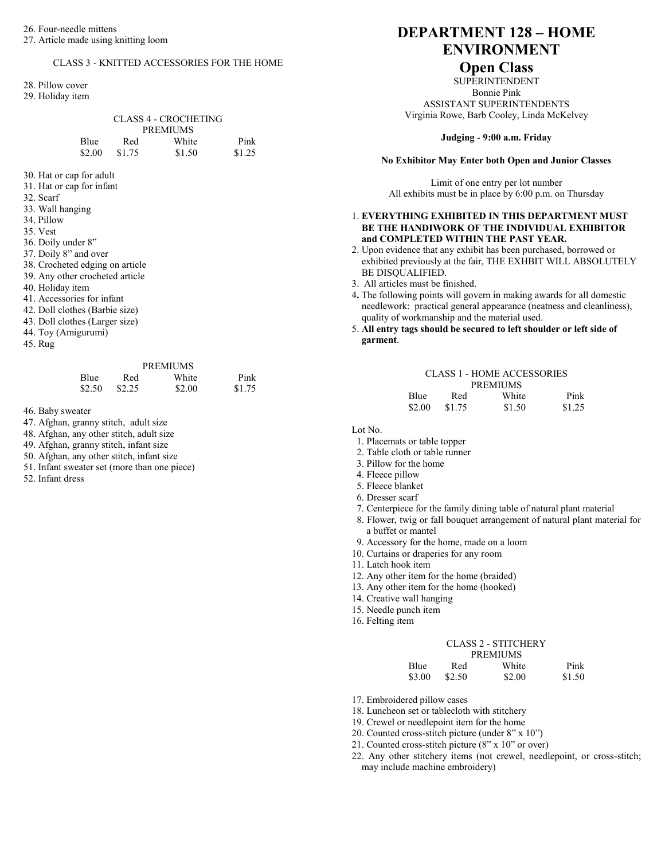#### CLASS 3 - KNITTED ACCESSORIES FOR THE HOME

28. Pillow cover

29. Holiday item

| CLASS 4 - CROCHETING |        |        |        |
|----------------------|--------|--------|--------|
| <b>PREMIUMS</b>      |        |        |        |
| Blue                 | Red    | White  | Pink   |
| \$2.00               | \$1.75 | \$1.50 | \$1.25 |

- 30. Hat or cap for adult
- 31. Hat or cap for infant

32. Scarf

33. Wall hanging

34. Pillow

35. Vest

- 36. Doily under 8"
- 37. Doily 8" and over

38. Crocheted edging on article

- 39. Any other crocheted article
- 40. Holiday item
- 41. Accessories for infant
- 42. Doll clothes (Barbie size)
- 43. Doll clothes (Larger size)
- 44. Toy (Amigurumi)
- 45. Rug

## PREMIUMS

| Blue   | Red    | White  | Pink   |
|--------|--------|--------|--------|
| \$2.50 | \$2.25 | \$2.00 | \$1.75 |

46. Baby sweater

47. Afghan, granny stitch, adult size

48. Afghan, any other stitch, adult size

49. Afghan, granny stitch, infant size

50. Afghan, any other stitch, infant size

51. Infant sweater set (more than one piece)

52. Infant dress

# **DEPARTMENT 128 – HOME ENVIRONMENT**

## **Open Class**

SUPERINTENDENT Bonnie Pink ASSISTANT SUPERINTENDENTS Virginia Rowe, Barb Cooley, Linda McKelvey

#### **Judging** - **9:00 a.m. Friday**

#### **No Exhibitor May Enter both Open and Junior Classes**

Limit of one entry per lot number All exhibits must be in place by 6:00 p.m. on Thursday

#### 1. **EVERYTHING EXHIBITED IN THIS DEPARTMENT MUST BE THE HANDIWORK OF THE INDIVIDUAL EXHIBITOR and COMPLETED WITHIN THE PAST YEAR.**

- 2. Upon evidence that any exhibit has been purchased, borrowed or exhibited previously at the fair, THE EXHBIT WILL ABSOLUTELY BE DISQUALIFIED.
- 3. All articles must be finished.
- 4**.** The following points will govern in making awards for all domestic needlework: practical general appearance (neatness and cleanliness), quality of workmanship and the material used.
- 5. **All entry tags should be secured to left shoulder or left side of garment**.

|             |        | <b>CLASS 1 - HOME ACCESSORIES</b> |        |
|-------------|--------|-----------------------------------|--------|
|             |        | <b>PREMIUMS</b>                   |        |
| <b>Blue</b> | Red    | White                             | Pink   |
| \$2.00      | \$1.75 | \$1.50                            | \$1.25 |

Lot No.

- 1. Placemats or table topper
- 2. Table cloth or table runner
- 3. Pillow for the home
- 4. Fleece pillow
- 5. Fleece blanket
- 6. Dresser scarf
- 7. Centerpiece for the family dining table of natural plant material
- 8. Flower, twig or fall bouquet arrangement of natural plant material for a buffet or mantel
- 9. Accessory for the home, made on a loom
- 10. Curtains or draperies for any room
- 11. Latch hook item
- 12. Any other item for the home (braided)
- 13. Any other item for the home (hooked)
- 14. Creative wall hanging
- 15. Needle punch item
- 16. Felting item

| <b>CLASS 2 - STITCHERY</b> |  |
|----------------------------|--|
|----------------------------|--|

|             |        | <b>PREMIUMS</b> |        |
|-------------|--------|-----------------|--------|
| <b>Blue</b> | Red    | White           | Pink   |
| \$3.00      | \$2.50 | \$2.00          | \$1.50 |

17. Embroidered pillow cases

- 18. Luncheon set or tablecloth with stitchery
- 19. Crewel or needlepoint item for the home
- 20. Counted cross-stitch picture (under 8" x 10")
- 21. Counted cross-stitch picture (8" x 10" or over)
- 22. Any other stitchery items (not crewel, needlepoint, or cross-stitch; may include machine embroidery)